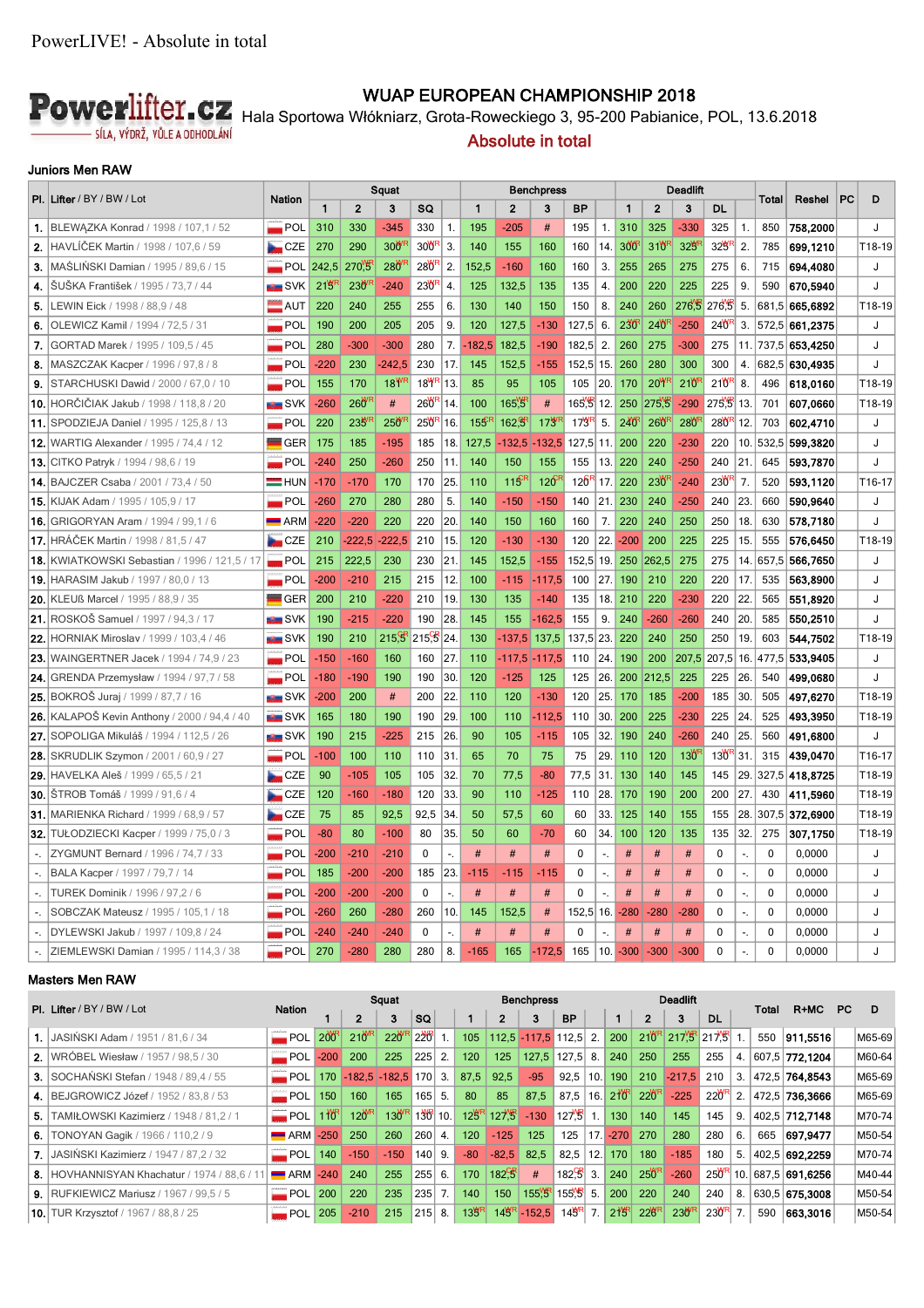

## **WUAP EUROPEAN CHAMPIONSHIP 2018**

Hala Sportowa Włókniarz, Grota-Roweckiego 3, 95-200 Pabianice, POL, 13.6.2018

## **Absolute in total**

### **Juniors Men RAW**

|                             | PI. Lifter / BY / BW / Lot                           | <b>Nation</b>            | Squat        |                 |                  |                    |                            | Benchpress      |                  |          |                  |                |                  | Deadlift         |            |                                   |     | <b>Total</b> | Reshel         | PC | D                  |
|-----------------------------|------------------------------------------------------|--------------------------|--------------|-----------------|------------------|--------------------|----------------------------|-----------------|------------------|----------|------------------|----------------|------------------|------------------|------------|-----------------------------------|-----|--------------|----------------|----|--------------------|
|                             |                                                      |                          | $\mathbf{1}$ | $\overline{2}$  | 3                | SQ                 |                            | $\mathbf{1}$    | $\mathbf{2}$     | 3        | <b>BP</b>        |                | 1                | $\overline{2}$   | 3          | DL                                |     |              |                |    |                    |
|                             | 1. BLEWAZKA Konrad / 1998 / 107,1 / 52               | $\blacksquare$ POL       | 310          | 330             | $-345$           | 330                | $\mathbf{1}$ .             | 195             | $-205$           | #        | 195              | 1.             | 310              | 325              | $-330$     | 325                               | 1.  | 850          | 758,2000       |    | J                  |
| 2.                          | HAVLIČEK Martin / 1998 / 107,6 / 59                  | CZE                      | 270          | 290             | 300              | 30 <sup>W</sup>    | 3.                         | 140             | 155              | 160      | 160              | 14.            | 300              | 310              | $32^{W}$   | 32 <sup>WF</sup>                  | 2.  | 785          | 699.1210       |    | T18-19             |
| 3.                          | MASLINSKI Damian / 1995 / 89,6 / 15                  | $\blacksquare$ POL       | 242,5        | 270.5           | 280 <sup>W</sup> | 280 <sup>"</sup>   | 2.                         | 152,5           | $-160$           | 160      | 160              | 3.             | 255              | 265              | 275        | 275                               | 6.  | 715          | 694,4080       |    | J                  |
| 4.                          | SUSKA František / 1995 / 73,7 / 44                   | ■ SVK                    | 219          | 23 <sup>W</sup> | $-240$           | 230 <sup>"</sup>   | $\overline{4}$ .           | 125             | 132,5            | 135      | 135              | 4.             | 200              | 220              | 225        | 225                               | 9.  | 590          | 670,5940       |    | J                  |
| 5.                          | LEWIN Eick / 1998 / 88,9 / 48                        | $\blacksquare$ AUT       | 220          | 240             | 255              | 255                | 6.                         | 130             | 140              | 150      | 150              | 8.             | 240              | 260              | 276.5      | 276.5                             | 5.  |              | 681,5 665,6892 |    | T18-19             |
| 6.                          | OLEWICZ Kamil / 1994 / 72,5 / 31                     | <b>POL</b>               | 190          | 200             | 205              | 205                | 9.                         | 120             | 127,5            | $-130$   | 127,5            | 6.             | 230              | 240              | $-250$     | 24 <sup>WF</sup>                  | 3.  |              | 572,5 661,2375 |    | J                  |
| 7.                          | GORTAD Marek / 1995 / 109,5 / 45                     | $\blacksquare$ POL       | 280          | $-300$          | $-300$           | 280                | 7.                         | $-182.5$        | 182,5            | $-190$   | 182,5            | 2.             | 260              | 275              | $-300$     | 275                               | 11. |              | 737,5 653,4250 |    | J                  |
| 8.                          | MASZCZAK Kacper / 1996 / 97,8 / 8                    | <b>International POL</b> | $-220$       | 230             | $-242.5$         | 230                | 17                         | 145             | 152,5            | $-155$   | 152,5 15.        |                | 260              | 280              | 300        | 300                               | 4.  |              | 682,5 630,4935 |    | J                  |
| 9.                          | STARCHUSKI Dawid / 2000 / 67,0 / 10                  | $\blacksquare$ POL       | 155          | 170             | 18 <sup>W</sup>  | $18$ <sup>WI</sup> | 13                         | 85              | 95               | 105      | 105              | 20.            | 170              | <b>20Y</b>       | $210^{6}$  | $210$ <sup>RF</sup>               | 8.  | 496          | 618,0160       |    | T18-19             |
|                             | 10. HORČIČIAK Jakub / 1998 / 118,8 / 20              | $\blacksquare$ SVK       | $-260$       | $260^{\circ}$   | #                | $260$ <sup>F</sup> | 14                         | 100             | 165.9            | #        | 165.5 12.        |                | 250              | 275 <sup>W</sup> | $-290$     | 275 <sup>W</sup> <sub>5</sub> 13. |     | 701          | 607,0660       |    | T18-19             |
|                             | 11. SPODZIEJA Daniel / 1995 / 125,8 / 13             | $\blacksquare$ POL       | 220          | 23 <sup>M</sup> | 250              | 25 <sup>WF</sup>   | 16                         | 15 <sup>5</sup> | $162\frac{9}{5}$ | 173      | 17 <sup>WF</sup> | 5.             | 240 <sup>F</sup> | 260              | <b>280</b> | $280$ <sup>F</sup>                | 12. | 703          | 602,4710       |    | J                  |
|                             | <b>12. WARTIG Alexander / 1995 / 74.4 / 12</b>       | $\blacksquare$ GER       | 175          | 185             | $-195$           | 185                | 18.                        | 127.5           | $-132.5$         | $-132.5$ | 127.5            | 11.            | 200              | 220              | $-230$     | 220                               | 10. | 532.5        | 599,3820       |    | J                  |
|                             | <b>13. CITKO Patryk / 1994 / 98,6 / 19</b>           | $\blacksquare$ POL       | $-240$       | 250             | $-260$           | 250                | 11.                        | 140             | 150              | 155      | 155              | 13.            | 220              | 240              | $-250$     | 240                               | 21  | 645          | 593,7870       |    | J                  |
|                             | <b>14. BAJCZER Csaba / 2001 / 73.4 / 50</b>          | $=$ HUN                  | $-170$       | $-170$          | 170              | 170                | 25                         | 110             | 115              | 120      | 126              | 17.            | 220              | 230              | $-240$     | $230$ <sup>F</sup>                | 7.  | 520          | 593,1120       |    | T <sub>16-17</sub> |
|                             | <b>15. KIJAK Adam / 1995 / 105,9 / 17</b>            | $\blacksquare$ POL       | $-260$       | 270             | 280              | 280                | 5.                         | 140             | $-150$           | $-150$   | 140              | 21.            | 230              | 240              | $-250$     | 240                               | 23. | 660          | 590,9640       |    | J                  |
|                             | <b>16.</b> GRIGORYAN Aram / 1994 / 99,1 / 6          | $\blacksquare$ ARM       | $-220$       | $-220$          | 220              | 220                | 20                         | 140             | 150              | 160      | 160              | 7.             | 220              | 240              | 250        | 250                               | 18. | 630          | 578,7180       |    | J                  |
|                             | <b>17. HRÁČEK Martin / 1998 / 81.5 / 47</b>          | $\Box$ CZE               | 210          | $-222.5$        | $-222.5$         | 210                | 15                         | 120             | $-130$           | $-130$   | 120              | 22.            | $-200$           | 200              | 225        | 225                               | 15. | 555          | 576,6450       |    | T18-19             |
|                             | <b>18. KWIATKOWSKI Sebastian / 1996 / 121,5 / 17</b> | $\blacksquare$ POL       | 215          | 222,5           | 230              | 230                | 21                         | 145             | 152,5            | $-155$   | 152,5            | 19.            | 250              | 262,5            | 275        | 275                               | 14. | 657,5        | 566,7650       |    | J                  |
|                             | <b>19. HARASIM Jakub / 1997 / 80.0 / 13</b>          | $\blacksquare$ POL       | $-200$       | $-210$          | 215              | 215                | 12                         | 100             | $-115$           | $-117,5$ | 100              | 27.            | 190              | 210              | 220        | 220                               | 17. | 535          | 563,8900       |    | J                  |
|                             | <b>20. KLEUß Marcel / 1995 / 88,9 / 35</b>           | $\blacksquare$ GER       | 200          | 210             | $-220$           | 210                | 19                         | 130             | 135              | $-140$   | 135              | 18.            | 210              | 220              | $-230$     | 220                               | 22. | 565          | 551,8920       |    | J                  |
|                             | 21. ROSKOŠ Samuel / 1997 / 94,3 / 17                 | ■ SVK                    | 190          | $-215$          | $-220$           | 190                | 28                         | 145             | 155              | $-162.5$ | 155              | 9.             | 240              | $-260$           | $-260$     | 240                               | 20. | 585          | 550,2510       |    | J                  |
|                             | <b>22. HORNIAK Miroslav / 1999 / 103,4 / 46</b>      | <b>SVK</b>               | 190          | 210             | 215.5            | 215.5              | 24                         | 130             | $-137.5$         | 137,5    | 137,5            | 23.            | 220              | 240              | 250        | 250                               | 19. | 603          | 544,7502       |    | T18-19             |
|                             | <b>23.</b> WAINGERTNER Jacek / 1994 / 74,9 / 23      | $\blacksquare$ POL       | $-150$       | $-160$          | 160              | 160                | 27                         | 110             | $-117,5$         | $-117.5$ | 110              | 24.            | 190              | 200              | 207,5      | 207,5                             | 16. | 477,5        | 533,9405       |    | J                  |
| 24.                         | GRENDA Przemysław / 1994 / 97,7 / 58                 | POL                      | $-180$       | $-190$          | 190              | 190                | 30                         | 120             | $-125$           | 125      | 125              | 26.            | 200              | 212.5            | 225        | 225                               | 26. | 540          | 499.0680       |    | J                  |
|                             | <b>25.</b> BOKROŠ Juraj / 1999 / 87,7 / 16           | SVK                      | $-200$       | 200             | #                | 200                | 22                         | 110             | 120              | $-130$   | 120              | 25.            | 170              | 185              | $-200$     | 185                               | 30. | 505          | 497,6270       |    | T18-19             |
|                             | <b>26.</b> KALAPOŠ Kevin Anthony / 2000 / 94,4 / 40  | <del>⊞</del> SVK         | 165          | 180             | 190              | 190                | 29                         | 100             | 110              | $-112,5$ | 110              | 30.            | 200              | 225              | $-230$     | 225                               | 24. | 525          | 493.3950       |    | T18-19             |
|                             | <b>27.</b> SOPOLIGA Mikuláš / 1994 / 112,5 / 26      | <b>ERIC SVK</b>          | 190          | 215             | $-225$           | 215                | 26                         | 90              | 105              | $-115$   | 105              | 32.            | 190              | 240              | $-260$     | 240                               | 25. | 560          | 491,6800       |    | J                  |
|                             | <b>28. SKRUDLIK Szymon / 2001 / 60,9 / 27</b>        | $\blacksquare$ POL       | $-100$       | 100             | 110              | 110                | 31.                        | 65              | 70               | 75       | 75               | 29.            | 110              | 120              | 130        | $130$ <sup>F</sup>                | 31. | 315          | 439.0470       |    | T <sub>16-17</sub> |
|                             | <b>29. HAVELKA Aleš / 1999 / 65,5 / 21</b>           | $\Box$ CZE               | 90           | $-105$          | 105              | 105                | 32                         | 70              | 77.5             | $-80$    | 77,5             | 31             | 130              | 140              | 145        | 145                               | 29. |              | 327,5 418,8725 |    | T18-19             |
|                             | <b>30.</b> STROB Tomáš / 1999 / 91,6 / 4             | CZE                      | 120          | $-160$          | $-180$           | 120                | 33.                        | 90              | 110              | $-125$   | 110              | 28.            | 170              | 190              | 200        | 200                               | 27. | 430          | 411,5960       |    | T18-19             |
|                             | <b>31. MARIENKA Richard / 1999 / 68.9 / 57</b>       | CZE                      | 75           | 85              | 92.5             | 92.5               | 34                         | 50              | 57.5             | 60       | 60               | 33.            | 125              | 140              | 155        | 155                               | 28. | 307.5        | 372,6900       |    | T18-19             |
| 32.                         | TUŁODZIECKI Kacper / 1999 / 75,0 / 3                 | $\blacksquare$ POL       | $-80$        | 80              | $-100$           | 80                 | 35                         | 50              | 60               | $-70$    | 60               | 34.            | 100              | 120              | 135        | 135                               | 32. | 275          | 307,1750       |    | T18-19             |
| $\mathcal{L}_\mathcal{L}$   | ZYGMUNT Bernard / 1996 / 74,7 / 33                   | $\blacksquare$ POL       | $-200$       | $-210$          | $-210$           | $\Omega$           | $\mathcal{L}_\mathcal{L}$  | #               | #                | #        | $\Omega$         | $\blacksquare$ | #                | #                | #          | $\Omega$                          | ÷.  | 0            | 0,0000         |    | J                  |
| $\mathbb{L}_1$              | BALA Kacper / 1997 / 79,7 / 14                       | $\blacksquare$ POL       | 185          | $-200$          | $-200$           | 185                | 23.                        | $-115$          | $-115$           | $-115$   | $\mathbf{0}$     | ÷.             | #                | #                | #          | $\Omega$                          | ÷,  | $\mathbf{0}$ | 0,0000         |    | J                  |
| $\mathcal{L}_{\mathcal{L}}$ | TUREK Dominik / 1996 / 97,2 / 6                      | $\blacksquare$ POL       | $-200$       | $-200$          | $-200$           | $\mathbf{0}$       | $-$                        | #               | #                | #        | $\mathbf{0}$     | $\overline{a}$ | #                | #                | #          | $\mathbf 0$                       | н.  | 0            | 0,0000         |    | J                  |
| $\sim$                      | SOBCZAK Mateusz / 1995 / 105,1 / 18                  | $\blacksquare$ POL       | $-260$       | 260             | $-280$           | 260                | 10.                        | 145             | 152.5            | #        | 152.5            | 16.            | $-280$           | $-280$           | $-280$     | $\Omega$                          | н.  | $\mathbf{0}$ | 0,0000         |    | J                  |
| $\sim$                      | DYLEWSKI Jakub / 1997 / 109.8 / 24                   | <b>POL</b>               | $-240$       | $-240$          | $-240$           | 0                  | $\overline{\phantom{a}}$ . | #               | #                | #        | $\mathbf{0}$     |                | #                | #                | #          | 0                                 | ۰.  | 0            | 0,0000         |    | J                  |
| $\sim$                      | ZIEMLEWSKI Damian / 1995 / 114,3 / 38                | POL                      | 270          | $-280$          | 280              | 280                | 8.                         | $-165$          | 165              | $-172.5$ | 165              | 10.            | $-300$           | $-300$           | $-300$     | $\Omega$                          |     | 0            | 0,0000         |    |                    |

#### **Masters Men RAW**

|     |                                                 |                           |       |                      | Squat             |           |                | <b>Benchpress</b> |                  |                         |                      |      |                     |                  | <b>Deadlift</b>     |                    |                |     |                |     |        |
|-----|-------------------------------------------------|---------------------------|-------|----------------------|-------------------|-----------|----------------|-------------------|------------------|-------------------------|----------------------|------|---------------------|------------------|---------------------|--------------------|----------------|-----|----------------|-----|--------|
|     | <b>PI.</b> Lifter / BY / BW / Lot               | <b>Nation</b>             |       | $\mathbf{2}$         | 3                 | <b>SQ</b> |                | $\blacksquare$    |                  |                         | <b>BP</b>            |      |                     | $\mathbf{2}$     | 3                   | <b>DL</b>          | Total          |     | R+MC           | PC. | D      |
|     | 1. JASIŃSKI Adam / 1951 / 81,6 / 34             | POL 200                   |       | 21 <sup>WR</sup>     | 22 <sup>WR</sup>  | 220       |                | 105               |                  | $112,5$ -117,5 112,5 2. |                      |      | 200                 | 210 <sup>R</sup> | 217 B 217 B 1.      |                    |                | 550 | 911.5516       |     | M65-69 |
|     | <b>2.</b> WRÓBEL Wiesław / 1957 / 98,5 / 30     | $POL$ -200                |       | 200                  | 225               | 225       | 2.             | 120               | 125              | 127.5                   | 127,5                |      | 8.   240            | 250              | 255                 | 255                | $\mathbf{4}$ . |     | 607.5 772.1204 |     | M60-64 |
|     | 3. SOCHAŃSKI Stefan / 1948 / 89.4 / 55          | $POL$ 170                 |       | $-182.5 - 182.5$ 170 |                   |           | 3.             | 87,5              | 92,5             | $-95$                   | 92.5                 | 10.1 | 190                 | 210              | $-217.5$            | 210                | 3.             |     | 472.5 764.8543 |     | M65-69 |
|     | 4. BEJGROWICZ Józef / 1952 / 83.8 / 53          | $POL$ 150                 |       | 160                  | 165               | $165$ 5.  |                | 80                | 85               | 87.5                    | 87.5                 |      | 16. 2 <sup>10</sup> | $220^{\rm R}$    | $-225$              | 220 <sup>R</sup>   | 2.             |     | 472.5 736.3666 |     | M65-69 |
| 5.1 | TAMIŁOWSKI Kazimierz / 1948 / 81,2 / 1          | $\blacksquare$ POL        | 1 YOR | $12^{WR}$            | $130^{\text{NR}}$ | $130$ 10. |                | 12 <sup>WR</sup>  | $12\frac{N}{15}$ | $-130$                  | 127.5                | 1.1  | 130                 | 140              | 145                 | 145                | 9.             |     | 402.5 712.7148 |     | M70-74 |
|     | <b>6.</b> TONOYAN Gagik / 1966 / 110.2 / 9      | $-M 250$                  |       | 250                  | 260               | 260       | 4.             | 120               | $-125$           | 125                     | 125                  |      | $17. -270$          | 270              | 280                 | 280                | 6.             | 665 | 697,9477       |     | M50-54 |
|     | <b>7.</b> JASIŃSKI Kazimierz / 1947 / 87.2 / 32 | $POL$ 140                 |       | $-150$               | $-150$            | 140       | 9.             | $-80$             | $-82,5$          | 82,5                    | 82.5                 |      | 12.170              | 180              | $-185$              | 180                | 5.             |     | 402.5 692,2259 |     | M70-74 |
|     | 8. HOVHANNISYAN Khachatur / 1974 / 88.6 / 1     | $\blacksquare$ ARM $-240$ |       | 240                  | 255               | 255       | 6.             | 170               | $182^{GB}$       | #                       | $182\frac{9}{5}$ 3.  |      | 240                 | $250^{\text{R}}$ | $-260$              | $250$ <sup>F</sup> | 110.1          |     | 687,5 691,6256 |     | M40-44 |
|     | <b>9.</b> RUFKIEWICZ Mariusz / 1967 / 99.5 / 5  | $POL$ 200                 |       | 220                  | 235               | 235       | 7 <sub>1</sub> | 140               | 150              | $155^{\text{WFR}}$      | 155 <sup>%</sup> 55. |      | 200                 | 220              | 240                 | 240                | 8.             |     | 630.5 675,3008 |     | M50-54 |
|     | <b>10.</b> TUR Krzysztof / 1967 / 88,8 / 25     | $POL$ 205                 |       | $-210$               | 215               | 215       | 8.             | 13 <sup>WR</sup>  |                  | $14WR - 152,5$          | 14 <sup>WR</sup>     | 7.   | $2^{NR}$            | 22 <sup>WR</sup> | $230$ <sup>WF</sup> | $230^{R}$ 7.       |                | 590 | 663.3016       |     | M50-54 |